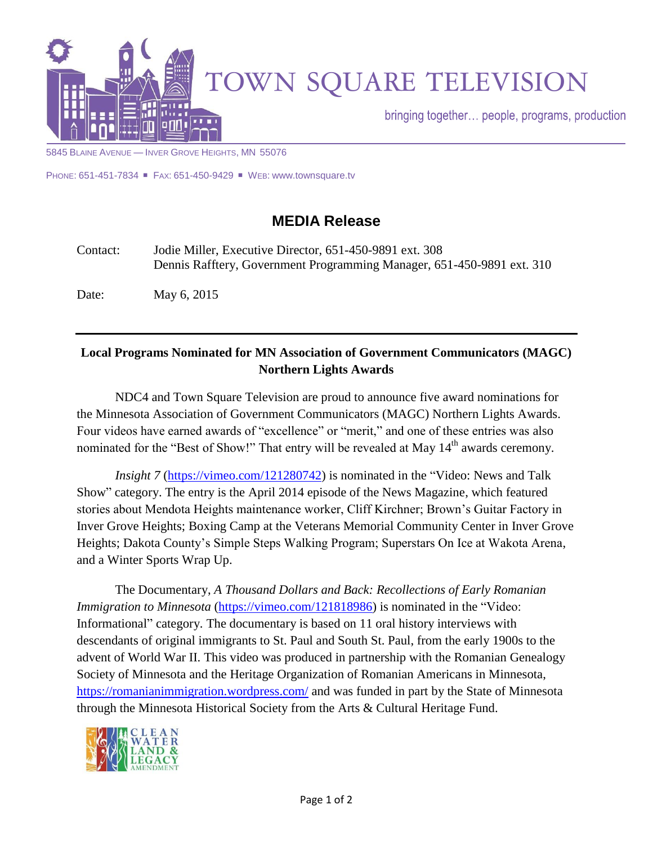

5845 BLAINE AVENUE — INVER GROVE HEIGHTS, MN 55076

PHONE: 651-451-7834 ■ FAX: 651-450-9429 ■ WEB: www.townsquare.tv

## **MEDIA Release**

Contact: Jodie Miller, Executive Director, 651-450-9891 ext. 308 Dennis Rafftery, Government Programming Manager, 651-450-9891 ext. 310

Date: May 6, 2015

## **Local Programs Nominated for MN Association of Government Communicators (MAGC) Northern Lights Awards**

NDC4 and Town Square Television are proud to announce five award nominations for the Minnesota Association of Government Communicators (MAGC) Northern Lights Awards. Four videos have earned awards of "excellence" or "merit," and one of these entries was also nominated for the "Best of Show!" That entry will be revealed at May 14<sup>th</sup> awards ceremony.

*Insight 7* [\(https://vimeo.com/121280742\)](https://vimeo.com/121280742) is nominated in the "Video: News and Talk Show" category. The entry is the April 2014 episode of the News Magazine, which featured stories about Mendota Heights maintenance worker, Cliff Kirchner; Brown's Guitar Factory in Inver Grove Heights; Boxing Camp at the Veterans Memorial Community Center in Inver Grove Heights; Dakota County's Simple Steps Walking Program; Superstars On Ice at Wakota Arena, and a Winter Sports Wrap Up.

The Documentary, *A Thousand Dollars and Back: Recollections of Early Romanian Immigration to Minnesota* [\(https://vimeo.com/121818986\)](https://vimeo.com/121818986) is nominated in the "Video: Informational" category. The documentary is based on 11 oral history interviews with descendants of original immigrants to St. Paul and South St. Paul, from the early 1900s to the advent of World War II. This video was produced in partnership with the Romanian Genealogy Society of Minnesota and the Heritage Organization of Romanian Americans in Minnesota, <https://romanianimmigration.wordpress.com/> and was funded in part by the State of Minnesota through the Minnesota Historical Society from the Arts & Cultural Heritage Fund.